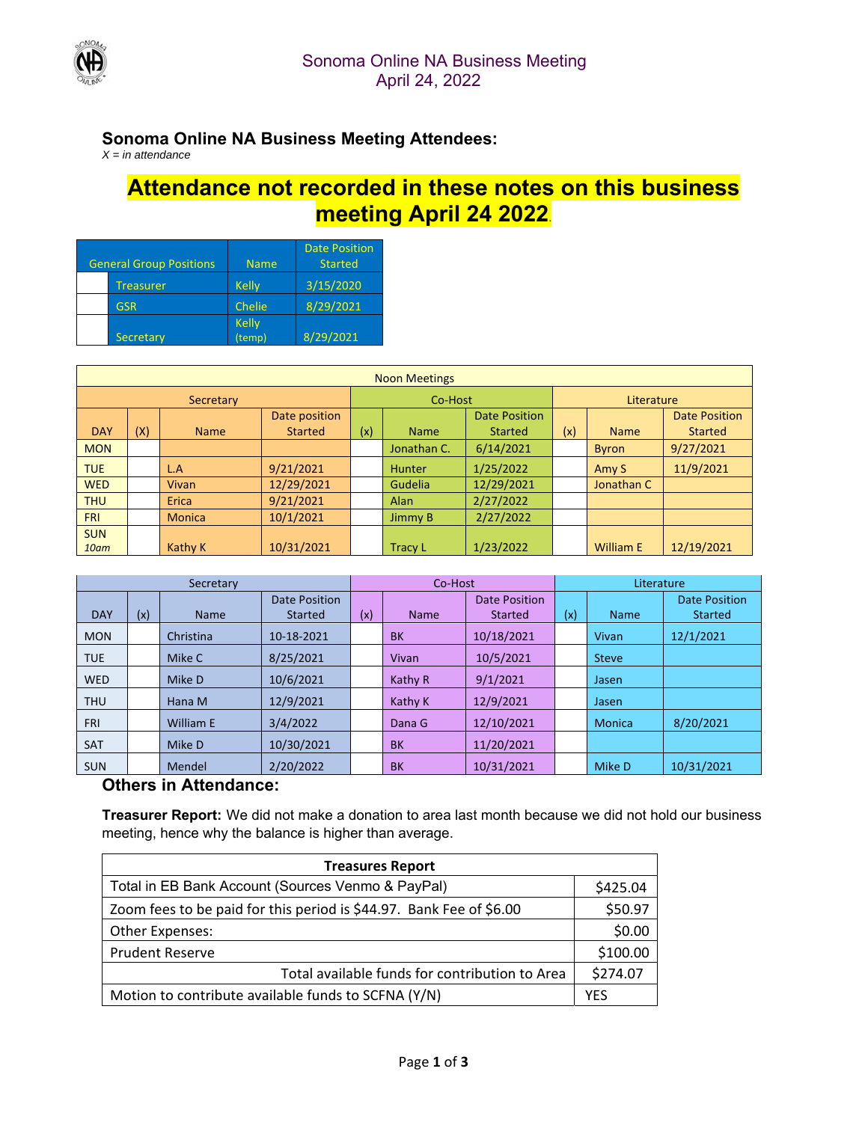

## **Sonoma Online NA Business Meeting Attendees:**

*X = in attendance* 

# **Attendance not recorded in these notes on this business meeting April 24 2022**.

| <b>General Group Positions</b> | <b>Name</b>     | <b>Date Position</b><br><b>Started</b> |
|--------------------------------|-----------------|----------------------------------------|
| <b>Treasurer</b>               | <b>Kelly</b>    | 3/15/2020                              |
| <b>GSR</b>                     | Chelie          | 8/29/2021                              |
| Secretary                      | Kelly<br>(temp) | 8/29/2021                              |

| <b>Noon Meetings</b> |     |               |                |     |                |                |     |                  |                      |
|----------------------|-----|---------------|----------------|-----|----------------|----------------|-----|------------------|----------------------|
| Secretary            |     |               | Co-Host        |     |                | Literature     |     |                  |                      |
|                      |     |               | Date position  |     |                | Date Position  |     |                  | <b>Date Position</b> |
| <b>DAY</b>           | (X) | <b>Name</b>   | <b>Started</b> | (x) | <b>Name</b>    | <b>Started</b> | (x) | <b>Name</b>      | <b>Started</b>       |
| <b>MON</b>           |     |               |                |     | Jonathan C.    | 6/14/2021      |     | <b>Byron</b>     | 9/27/2021            |
| <b>TUE</b>           |     | L.A           | 9/21/2021      |     | <b>Hunter</b>  | 1/25/2022      |     | Amy S            | 11/9/2021            |
| <b>WED</b>           |     | Vivan         | 12/29/2021     |     | <b>Gudelia</b> | 12/29/2021     |     | Jonathan C       |                      |
| <b>THU</b>           |     | Erica         | 9/21/2021      |     | <b>Alan</b>    | 2/27/2022      |     |                  |                      |
| <b>FRI</b>           |     | <b>Monica</b> | 10/1/2021      |     | Jimmy B        | 2/27/2022      |     |                  |                      |
| <b>SUN</b>           |     |               |                |     |                |                |     |                  |                      |
| 10am                 |     | Kathy K       | 10/31/2021     |     | <b>Tracy L</b> | 1/23/2022      |     | <b>William E</b> | 12/19/2021           |

| Secretary  |     |                  | Co-Host              |     |             | Literature    |     |               |                      |
|------------|-----|------------------|----------------------|-----|-------------|---------------|-----|---------------|----------------------|
|            |     |                  | <b>Date Position</b> |     |             | Date Position |     |               | <b>Date Position</b> |
| <b>DAY</b> | (x) | <b>Name</b>      | Started              | (x) | <b>Name</b> | Started       | (x) | <b>Name</b>   | <b>Started</b>       |
| <b>MON</b> |     | Christina        | 10-18-2021           |     | <b>BK</b>   | 10/18/2021    |     | Vivan         | 12/1/2021            |
| <b>TUE</b> |     | Mike C           | 8/25/2021            |     | Vivan       | 10/5/2021     |     | <b>Steve</b>  |                      |
| <b>WED</b> |     | Mike D           | 10/6/2021            |     | Kathy R     | 9/1/2021      |     | Jasen         |                      |
| <b>THU</b> |     | Hana M           | 12/9/2021            |     | Kathy K     | 12/9/2021     |     | Jasen         |                      |
| <b>FRI</b> |     | <b>William E</b> | 3/4/2022             |     | Dana G      | 12/10/2021    |     | <b>Monica</b> | 8/20/2021            |
| <b>SAT</b> |     | Mike D           | 10/30/2021           |     | <b>BK</b>   | 11/20/2021    |     |               |                      |
| <b>SUN</b> |     | Mendel           | 2/20/2022            |     | BK          | 10/31/2021    |     | Mike D        | 10/31/2021           |

### **Others in Attendance:**

**Treasurer Report:** We did not make a donation to area last month because we did not hold our business meeting, hence why the balance is higher than average.

| <b>Treasures Report</b>                                             |          |  |  |  |  |
|---------------------------------------------------------------------|----------|--|--|--|--|
| Total in EB Bank Account (Sources Venmo & PayPal)                   |          |  |  |  |  |
| Zoom fees to be paid for this period is \$44.97. Bank Fee of \$6.00 |          |  |  |  |  |
| Other Expenses:                                                     |          |  |  |  |  |
| <b>Prudent Reserve</b>                                              |          |  |  |  |  |
| Total available funds for contribution to Area                      | \$274.07 |  |  |  |  |
| Motion to contribute available funds to SCFNA (Y/N)                 | YFS      |  |  |  |  |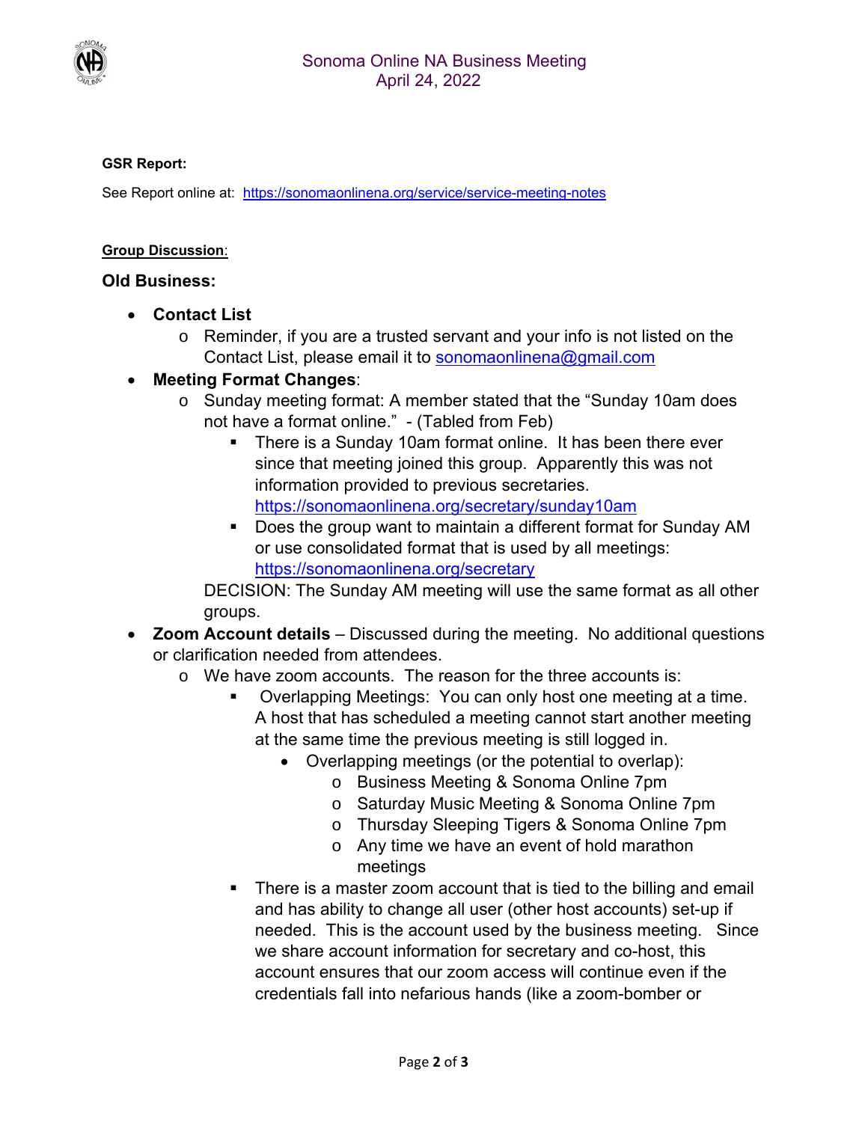

#### **GSR Report:**

See Report online at: https://sonomaonlinena.org/service/service-meeting-notes

#### **Group Discussion**:

#### **Old Business:**

- **Contact List** 
	- $\circ$  Reminder, if you are a trusted servant and your info is not listed on the Contact List, please email it to sonomaonlinena@gmail.com

## **Meeting Format Changes**:

- o Sunday meeting format: A member stated that the "Sunday 10am does not have a format online." - (Tabled from Feb)
	- **There is a Sunday 10am format online. It has been there ever** since that meeting joined this group. Apparently this was not information provided to previous secretaries. https://sonomaonlinena.org/secretary/sunday10am
	- Does the group want to maintain a different format for Sunday AM or use consolidated format that is used by all meetings: https://sonomaonlinena.org/secretary

DECISION: The Sunday AM meeting will use the same format as all other groups.

- **Zoom Account details** Discussed during the meeting. No additional questions or clarification needed from attendees.
	- o We have zoom accounts. The reason for the three accounts is:
		- Overlapping Meetings: You can only host one meeting at a time. A host that has scheduled a meeting cannot start another meeting at the same time the previous meeting is still logged in.
			- Overlapping meetings (or the potential to overlap):
				- o Business Meeting & Sonoma Online 7pm
				- o Saturday Music Meeting & Sonoma Online 7pm
				- o Thursday Sleeping Tigers & Sonoma Online 7pm
				- o Any time we have an event of hold marathon meetings
		- There is a master zoom account that is tied to the billing and email and has ability to change all user (other host accounts) set-up if needed. This is the account used by the business meeting. Since we share account information for secretary and co-host, this account ensures that our zoom access will continue even if the credentials fall into nefarious hands (like a zoom-bomber or